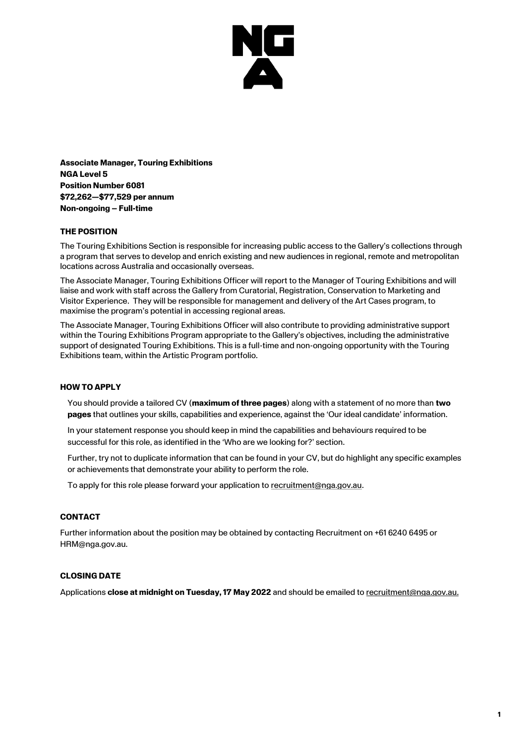

**Associate Manager, Touring Exhibitions NGA Level 5 Position Number 6081 \$72,262—\$77,529 per annum Non-ongoing – Full-time**

### **THE POSITION**

The Touring Exhibitions Section is responsible for increasing public access to the Gallery's collections through a program that serves to develop and enrich existing and new audiences in regional, remote and metropolitan locations across Australia and occasionally overseas.

The Associate Manager, Touring Exhibitions Officer will report to the Manager of Touring Exhibitions and will liaise and work with staff across the Gallery from Curatorial, Registration, Conservation to Marketing and Visitor Experience. They will be responsible for management and delivery of the Art Cases program, to maximise the program's potential in accessing regional areas.

The Associate Manager, Touring Exhibitions Officer will also contribute to providing administrative support within the Touring Exhibitions Program appropriate to the Gallery's objectives, including the administrative support of designated Touring Exhibitions. This is a full-time and non-ongoing opportunity with the Touring Exhibitions team, within the Artistic Program portfolio.

### **HOW TO APPLY**

You should provide a tailored CV (**maximum of three pages**) along with a statement of no more than **two pages** that outlines your skills, capabilities and experience, against the 'Our ideal candidate' information.

In your statement response you should keep in mind the capabilities and behaviours required to be successful for this role, as identified in the 'Who are we looking for?' section.

Further, try not to duplicate information that can be found in your CV, but do highlight any specific examples or achievements that demonstrate your ability to perform the role.

To apply for this role please forward your application to [recruitment@nga.gov.au.](mailto:recruitment@nga.gov.au)

### **CONTACT**

Further information about the position may be obtained by contacting Recruitment on +61 6240 6495 or HRM@nga.gov.au.

# **CLOSING DATE**

Applications **close at midnight on Tuesday, 17 May 2022** and should be emailed t[o recruitment@nga.gov.au.](file://///NGAVFS02/Groups/PubAffairs/29.%20Studio%20Ongarato/__REBRAND/HR/recruitment@nga.gov.au)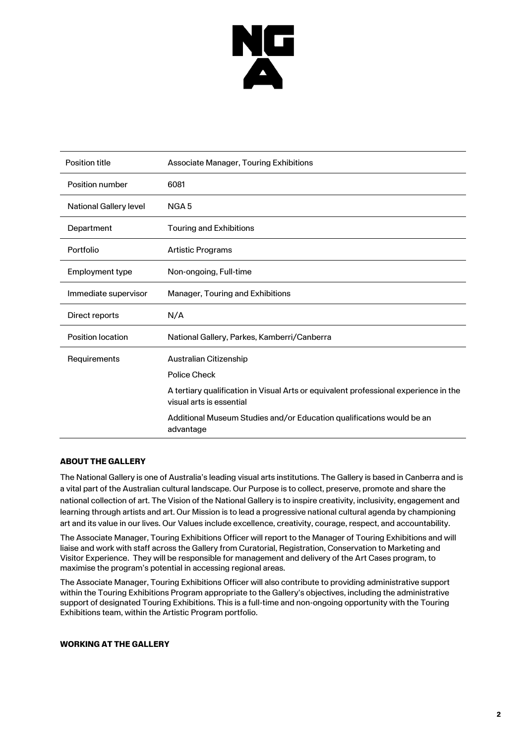

| <b>Position title</b>         | Associate Manager, Touring Exhibitions                                                                           |
|-------------------------------|------------------------------------------------------------------------------------------------------------------|
| Position number               | 6081                                                                                                             |
| <b>National Gallery level</b> | NGA <sub>5</sub>                                                                                                 |
| Department                    | <b>Touring and Exhibitions</b>                                                                                   |
| Portfolio                     | <b>Artistic Programs</b>                                                                                         |
| Employment type               | Non-ongoing, Full-time                                                                                           |
| Immediate supervisor          | Manager, Touring and Exhibitions                                                                                 |
| Direct reports                | N/A                                                                                                              |
| Position location             | National Gallery, Parkes, Kamberri/Canberra                                                                      |
| Requirements                  | Australian Citizenship                                                                                           |
|                               | <b>Police Check</b>                                                                                              |
|                               | A tertiary qualification in Visual Arts or equivalent professional experience in the<br>visual arts is essential |
|                               | Additional Museum Studies and/or Education qualifications would be an<br>advantage                               |

### **ABOUT THE GALLERY**

The National Gallery is one of Australia's leading visual arts institutions. The Gallery is based in Canberra and is a vital part of the Australian cultural landscape. Our Purpose is to collect, preserve, promote and share the national collection of art. The Vision of the National Gallery is to inspire creativity, inclusivity, engagement and learning through artists and art. Our Mission is to lead a progressive national cultural agenda by championing art and its value in our lives. Our Values include excellence, creativity, courage, respect, and accountability.

The Associate Manager, Touring Exhibitions Officer will report to the Manager of Touring Exhibitions and will liaise and work with staff across the Gallery from Curatorial, Registration, Conservation to Marketing and Visitor Experience. They will be responsible for management and delivery of the Art Cases program, to maximise the program's potential in accessing regional areas.

The Associate Manager, Touring Exhibitions Officer will also contribute to providing administrative support within the Touring Exhibitions Program appropriate to the Gallery's objectives, including the administrative support of designated Touring Exhibitions. This is a full-time and non-ongoing opportunity with the Touring Exhibitions team, within the Artistic Program portfolio.

#### **WORKING AT THE GALLERY**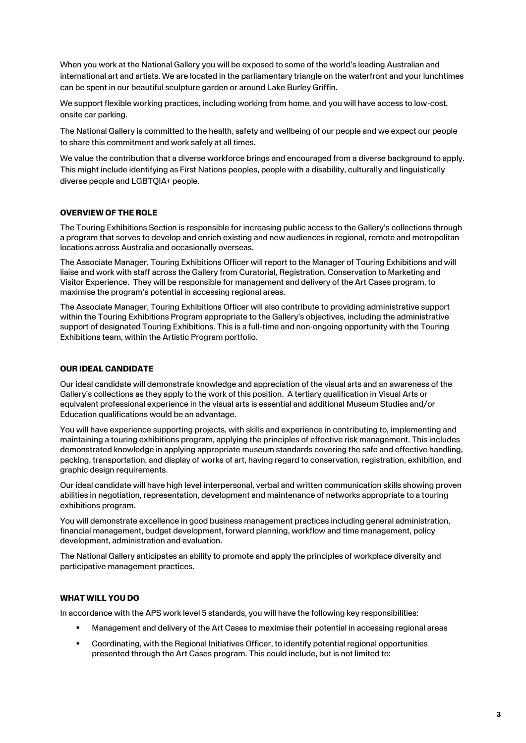When you work at the National Gallery you will be exposed to some of the world's leading Australian and international art and artists. We are located in the parliamentary triangle on the waterfront and your lunchtimes can be spent in our beautiful sculpture garden or around Lake Burley Griffin.

We support flexible working practices, including working from home, and you will have access to low-cost, onsite car parking.

The National Gallery is committed to the health, safety and wellbeing of our people and we expect our people to share this commitment and work safely at all times.

We value the contribution that a diverse workforce brings and encouraged from a diverse background to apply. This might include identifying as First Nations peoples, people with a disability, culturally and linguistically diverse people and LGBTQIA+ people.

### **OVERVIEW OF THE ROLE**

The Touring Exhibitions Section is responsible for increasing public access to the Gallery's collections through a program that serves to develop and enrich existing and new audiences in regional, remote and metropolitan locations across Australia and occasionally overseas.

The Associate Manager, Touring Exhibitions Officer will report to the Manager of Touring Exhibitions and will liaise and work with staff across the Gallery from Curatorial, Registration, Conservation to Marketing and Visitor Experience. They will be responsible for management and delivery of the Art Cases program, to maximise the program's potential in accessing regional areas.

The Associate Manager, Touring Exhibitions Officer will also contribute to providing administrative support within the Touring Exhibitions Program appropriate to the Gallery's objectives, including the administrative support of designated Touring Exhibitions. This is a full-time and non-ongoing opportunity with the Touring Exhibitions team, within the Artistic Program portfolio.

# **OUR IDEAL CANDIDATE**

Our ideal candidate will demonstrate knowledge and appreciation of the visual arts and an awareness of the Gallery's collections as they apply to the work of this position. A tertiary qualification in Visual Arts or equivalent professional experience in the visual arts is essential and additional Museum Studies and/or Education qualifications would be an advantage.

You will have experience supporting projects, with skills and experience in contributing to, implementing and maintaining a touring exhibitions program, applying the principles of effective risk management. This includes demonstrated knowledge in applying appropriate museum standards covering the safe and effective handling, packing, transportation, and display of works of art, having regard to conservation, registration, exhibition, and graphic design requirements.

Our ideal candidate will have high level interpersonal, verbal and written communication skills showing proven abilities in negotiation, representation, development and maintenance of networks appropriate to a touring exhibitions program.

You will demonstrate excellence in good business management practices including general administration, financial management, budget development, forward planning, workflow and time management, policy development, administration and evaluation.

The National Gallery anticipates an ability to promote and apply the principles of workplace diversity and participative management practices.

### **WHAT WILL YOU DO**

In accordance with the APS work level 5 standards, you will have the following key responsibilities:

- Management and delivery of the Art Cases to maximise their potential in accessing regional areas
- Coordinating, with the Regional Initiatives Officer, to identify potential regional opportunities presented through the Art Cases program. This could include, but is not limited to: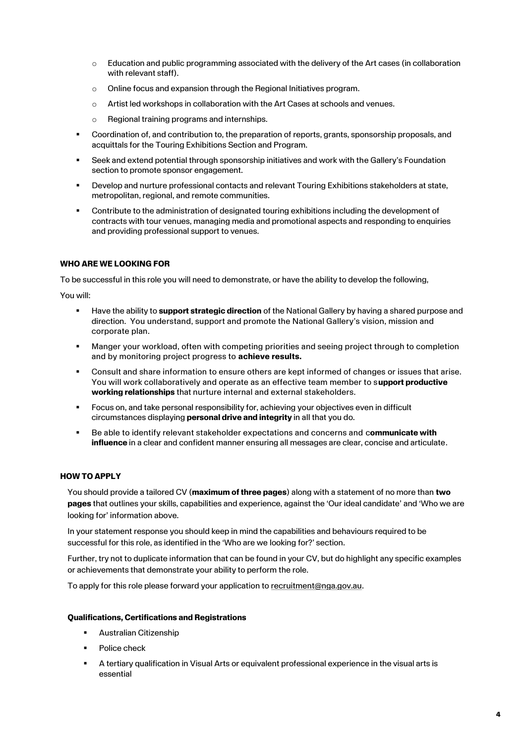- $\circ$  Education and public programming associated with the delivery of the Art cases (in collaboration with relevant staff).
- o Online focus and expansion through the Regional Initiatives program.
- $\circ$  Artist led workshops in collaboration with the Art Cases at schools and venues.
- o Regional training programs and internships.
- Coordination of, and contribution to, the preparation of reports, grants, sponsorship proposals, and acquittals for the Touring Exhibitions Section and Program.
- Seek and extend potential through sponsorship initiatives and work with the Gallery's Foundation section to promote sponsor engagement.
- Develop and nurture professional contacts and relevant Touring Exhibitions stakeholders at state, metropolitan, regional, and remote communities.
- Contribute to the administration of designated touring exhibitions including the development of contracts with tour venues, managing media and promotional aspects and responding to enquiries and providing professional support to venues.

### **WHO ARE WE LOOKING FOR**

To be successful in this role you will need to demonstrate, or have the ability to develop the following,

You will:

- Have the ability to **support strategic direction** of the National Gallery by having a shared purpose and direction. You understand, support and promote the National Gallery's vision, mission and corporate plan.
- Manger your workload, often with competing priorities and seeing project through to completion and by monitoring project progress to **achieve results.**
- Consult and share information to ensure others are kept informed of changes or issues that arise. You will work collaboratively and operate as an effective team member to s**upport productive working relationships** that nurture internal and external stakeholders.
- Focus on, and take personal responsibility for, achieving your objectives even in difficult circumstances displaying **personal drive and integrity** in all that you do.
- Be able to identify relevant stakeholder expectations and concerns and communicate with **influence** in a clear and confident manner ensuring all messages are clear, concise and articulate.

### **HOW TO APPLY**

You should provide a tailored CV (**maximum of three pages**) along with a statement of no more than **two pages** that outlines your skills, capabilities and experience, against the 'Our ideal candidate' and 'Who we are looking for' information above.

In your statement response you should keep in mind the capabilities and behaviours required to be successful for this role, as identified in the 'Who are we looking for?' section.

Further, try not to duplicate information that can be found in your CV, but do highlight any specific examples or achievements that demonstrate your ability to perform the role.

To apply for this role please forward your application to [recruitment@nga.gov.au.](mailto:recruitment@nga.gov.au)

### **Qualifications, Certifications and Registrations**

- **Australian Citizenship**
- Police check
- A tertiary qualification in Visual Arts or equivalent professional experience in the visual arts is essential